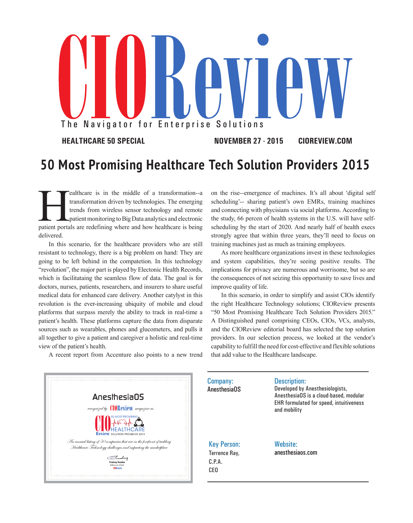## The Navigator for Enterprise Solutions

**HEALTHCARE 50 SPECIAL NOVEMBER 27 - 2015 CIOREVIEW.COM**

## **50 Most Promising Healthcare Tech Solution Providers 2015**

**Fealthcare is in the middle of a transformation--a** transformation driven by technologies. The emerging trends from wireless sensor technology and remote patient monitoring to Big Data analytics and electronic patient por transformation driven by technologies. The emerging trends from wireless sensor technology and remote patient monitoring to Big Data analytics and electronic delivered.

In this scenario, for the healthcare providers who are still resistant to technology, there is a big problem on hand: They are going to be left behind in the compatetion. In this technology "revolution", the major part is played by Electonic Health Records, which is facilitataing the seamless flow of data. The goal is for doctors, nurses, patients, researchers, and insurers to share useful medical data for enhanced care delivery. Another catylyst in this revolution is the ever-increasing ubiquity of mobile and cloud platforms that surpass merely the ability to track in real-time a patient's health. These platforms capture the data from disparate sources such as wearables, phones and glucometers, and pulls it all together to give a patient and caregiver a holistic and real-time view of the patient's health.

A recent report from Accenture also points to a new trend

on the rise--emergence of machines. It's all about 'digital self scheduling'-- sharing patient's own EMRs, training machines and connecting with phycisians via social platforms. According to the study, 66 percen of health systems in the U.S. will have selfscheduling by the start of 2020. And nearly half of health execs strongly agree that within three years, they'll need to focus on training machines just as much as training employees.

As more healthcare organizations invest in these technologies and system capabilities, they're seeing positive results. The implications for privacy are numerous and worrisome, but so are the consequences of not seizing this opportunity to save lives and improve quality of life.

In this scenario, in order to simplify and assist CIOs identify the right Healthcare Technology solutions; CIOReview presents "50 Most Promising Healthcare Tech Solution Providers 2015." A Distinguished panel comprising CEOs, CIOs, VCs, analysts, and the CIOReview editorial board has selected the top solution providers. In our selection process, we looked at the vendor's capability to fulfill the need for cost-effective and flexible solutions that add value to the Healthcare landscape.